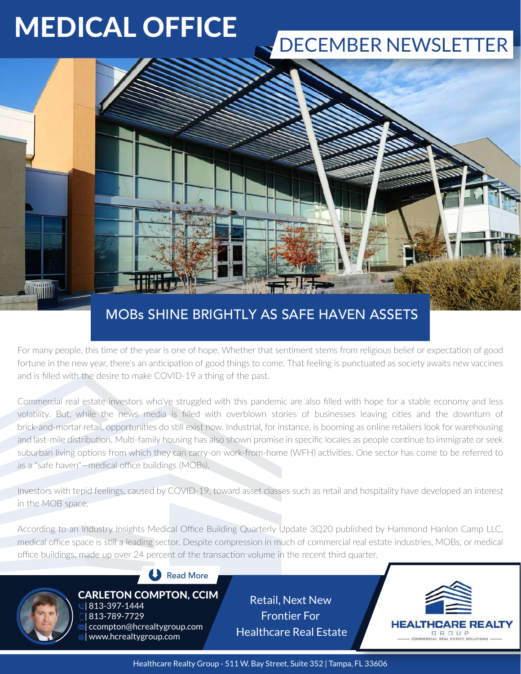# MEDICAL OFFICE

## DECEMBER NEWSLETTER



### MOBs SHINE BRIGHTLY AS SAFE HAVEN ASSETS

For many people, this time of the year is one of hope. Whether that sentiment stems from religious belief or expectation of good fortune in the new year, there's an anticipation of good things to come. That feeling is punctuated as society awaits new vaccines and is filled with the desire to make COVID-19 a thing of the past.

Commercial real estate investors who've struggled with this pandemic are also filled with hope for a stable economy and less volatility. But, while the news media is filled with overblown stories of businesses leaving cities and the downturn of brick-and-mortar retail, opportunities do still exist now. Industrial, for instance, is booming as online retailers look for warehousing and last-mile distribution. Multi-family housing has also shown promise in specific locales as people continue to immigrate or seek suburban living options from which they can carry-on work-from-home (WFH) activities. One sector has come to be referred to as a "safe haven"—medical office buildings (MOBs).

Investors with tepid feelings, caused by COVID-19, toward asset classes such as retail and hospitality have developed an interest in the MOB space.

According to an Industry Insights Medical Office Building Quarterly Update 3Q20 published by Hammond Hanlon Camp LLC, medical office space is still a leading sector. Despite compression in much of commercial real estate industries, MOBs, or medical office buildings, made up over 24 percent of the transaction volume in the recent third quarter.



### Read More

 | 813-397-1444 | 813-789-7729

| ccompton@hcrealtygroup.com

CARLETON COMPTON, CCIM Retail, Next New Frontier For Healthcare Real Estate



Healthcare Realty Group - 511 W. Bay Street, Suite 352 | Tampa, FL 33606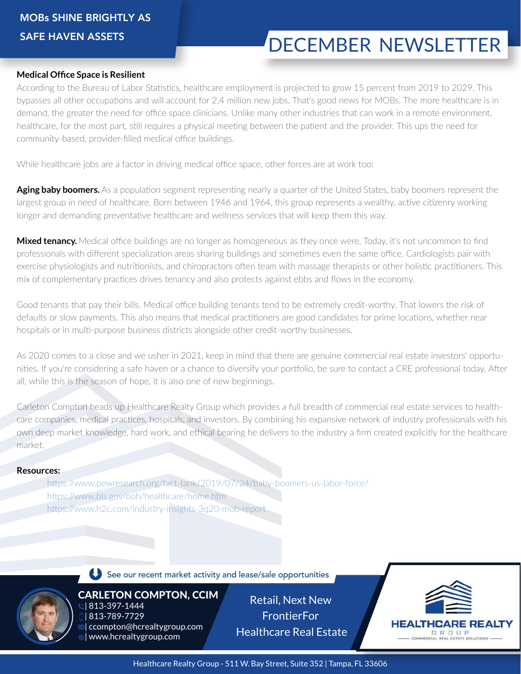## DECEMBER NEWSLETTER

#### **Medical Office Space is Resilient**

According to the Bureau of Labor Statistics, healthcare employment is projected to grow 15 percent from 2019 to 2029. This bypasses all other occupations and will account for 2.4 million new jobs. That's good news for MOBs. The more healthcare is in demand, the greater the need for office space clinicians. Unlike many other industries that can work in a remote environment, healthcare, for the most part, still requires a physical meeting between the patient and the provider. This ups the need for community-based, provider-filled medical office buildings.

While healthcare jobs are a factor in driving medical office space, other forces are at work too:

Aging baby boomers. As a population segment representing nearly a quarter of the United States, baby boomers represent the largest group in need of healthcare. Born between 1946 and 1964, this group represents a wealthy, active citizenry working longer and demanding preventative healthcare and wellness services that will keep them this way.

**Mixed tenancy.** Medical office buildings are no longer as homogeneous as they once were. Today, it's not uncommon to find professionals with different specialization areas sharing buildings and sometimes even the same office. Cardiologists pair with exercise physiologists and nutritionists, and chiropractors often team with massage therapists or other holistic practitioners. This mix of complementary practices drives tenancy and also protects against ebbs and flows in the economy.

Good tenants that pay their bills. Medical office building tenants tend to be extremely credit-worthy. That lowers the risk of defaults or slow payments. This also means that medical practitioners are good candidates for prime locations, whether near hospitals or in multi-purpose business districts alongside other credit-worthy businesses.

As 2020 comes to a close and we usher in 2021, keep in mind that there are genuine commercial real estate investors' opportunities. If you're considering a safe haven or a chance to diversify your portfolio, be sure to contact a CRE professional today. After all, while this is the season of hope, it is also one of new beginnings.

Carleton Compton heads up Healthcare Realty Group which provides a full breadth of commercial real estate services to healthcare companies, medical practices, hospitals, and investors. By combining his expansive network of industry professionals with his own deep market knowledge, hard work, and ethical bearing he delivers to the industry a firm created explicitly for the healthcare market.

#### **Resources:**

 https://www.pewresearch.org/fact-tank/2019/07/24/baby-boomers-us-labor-force/ https://www.bls.gov/ooh/healthcare/home.htm https://www.h2c.com/industry-insights-3q20-mob-report



See our recent market activity and lease/sale opportunities

CARLETON COMPTON, CCIM | 813-397-1444 | 813-789-7729 **If** ccompton@hcrealtygroup.com | www.hcrealtygroup.com

Retail, Next New **FrontierFor** Healthcare Real Estate

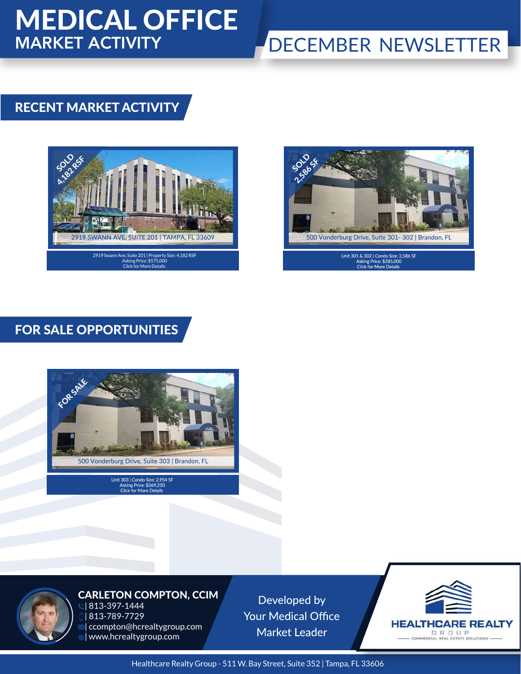## MEDICAL OFFICE MARKET ACTIVITY

### DECEMBER NEWSLETTER

### RECENT MARKET ACTIVITY





FOR SALE OPPORTUNITIES



Unit 303 | Condo Size: 2,954 SF<br>Asking Price: \$369,250<br>Click for More Details



#### CARLETON COMPTON, CCIM 0 813-397-1444 | 813-789-7729 **Ional compton@hcrealtygroup.com** | www.hcrealtygroup.com

Developed by **Your Medical Office Market Leader** 



Healthcare Realty Group - 511 W. Bay Street, Suite 352 | Tampa, FL 33606